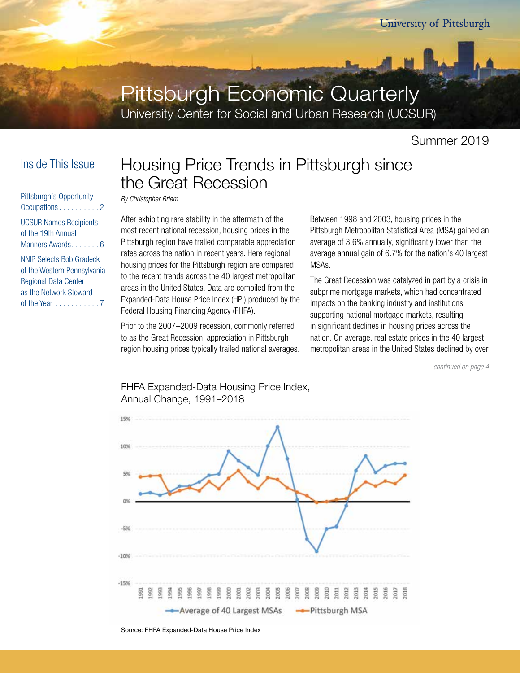# Pittsburgh Economic Quarterly

University Center for Social and Urban Research (UCSUR)

Summer 2019

## Inside This Issue

Pittsburgh's Opportunity Occupations . . . . . . . . . . 2 UCSUR Names Recipients of the 19th Annual Manners Awards....... 6 NNIP Selects Bob Gradeck of the Western Pennsylvania Regional Data Center as the Network Steward of the Year . . . . . . . . . . 7

## Housing Price Trends in Pittsburgh since the Great Recession

*By Christopher Briem*

After exhibiting rare stability in the aftermath of the most recent national recession, housing prices in the Pittsburgh region have trailed comparable appreciation rates across the nation in recent years. Here regional housing prices for the Pittsburgh region are compared to the recent trends across the 40 largest metropolitan areas in the United States. Data are compiled from the Expanded-Data House Price Index (HPI) produced by the Federal Housing Financing Agency (FHFA).

Prior to the 2007–2009 recession, commonly referred to as the Great Recession, appreciation in Pittsburgh region housing prices typically trailed national averages. Between 1998 and 2003, housing prices in the Pittsburgh Metropolitan Statistical Area (MSA) gained an average of 3.6% annually, significantly lower than the average annual gain of 6.7% for the nation's 40 largest MSAs.

The Great Recession was catalyzed in part by a crisis in subprime mortgage markets, which had concentrated impacts on the banking industry and institutions supporting national mortgage markets, resulting in significant declines in housing prices across the nation. On average, real estate prices in the 40 largest metropolitan areas in the United States declined by over

*continued on page 4*



FHFA Expanded-Data Housing Price Index, Annual Change, 1991–2018

Source: FHFA Expanded-Data House Price Index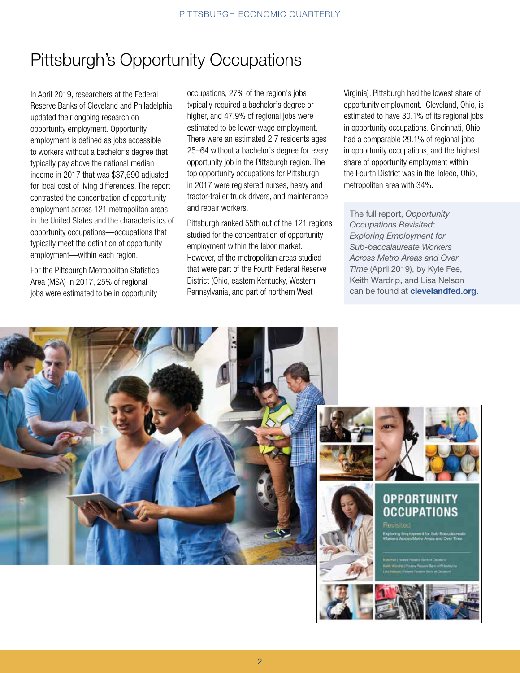# Pittsburgh's Opportunity Occupations

In April 2019, researchers at the Federal Reserve Banks of Cleveland and Philadelphia updated their ongoing research on opportunity employment. Opportunity employment is defined as jobs accessible to workers without a bachelor's degree that typically pay above the national median income in 2017 that was \$37,690 adjusted for local cost of living differences. The report contrasted the concentration of opportunity employment across 121 metropolitan areas in the United States and the characteristics of opportunity occupations—occupations that typically meet the definition of opportunity employment—within each region.

For the Pittsburgh Metropolitan Statistical Area (MSA) in 2017, 25% of regional jobs were estimated to be in opportunity

occupations, 27% of the region's jobs typically required a bachelor's degree or higher, and 47.9% of regional jobs were estimated to be lower-wage employment. There were an estimated 2.7 residents ages 25–64 without a bachelor's degree for every opportunity job in the Pittsburgh region. The top opportunity occupations for Pittsburgh in 2017 were registered nurses, heavy and tractor-trailer truck drivers, and maintenance and repair workers.

Pittsburgh ranked 55th out of the 121 regions studied for the concentration of opportunity employment within the labor market. However, of the metropolitan areas studied that were part of the Fourth Federal Reserve District (Ohio, eastern Kentucky, Western Pennsylvania, and part of northern West

Virginia), Pittsburgh had the lowest share of opportunity employment. Cleveland, Ohio, is estimated to have 30.1% of its regional jobs in opportunity occupations. Cincinnati, Ohio, had a comparable 29.1% of regional jobs in opportunity occupations, and the highest share of opportunity employment within the Fourth District was in the Toledo, Ohio, metropolitan area with 34%.

The full report, *Opportunity Occupations Revisited: Exploring Employment for Sub-baccalaureate Workers Across Metro Areas and Over Time* (April 2019), by Kyle Fee, Keith Wardrip, and Lisa Nelson can be found at **clevelandfed.org.** 

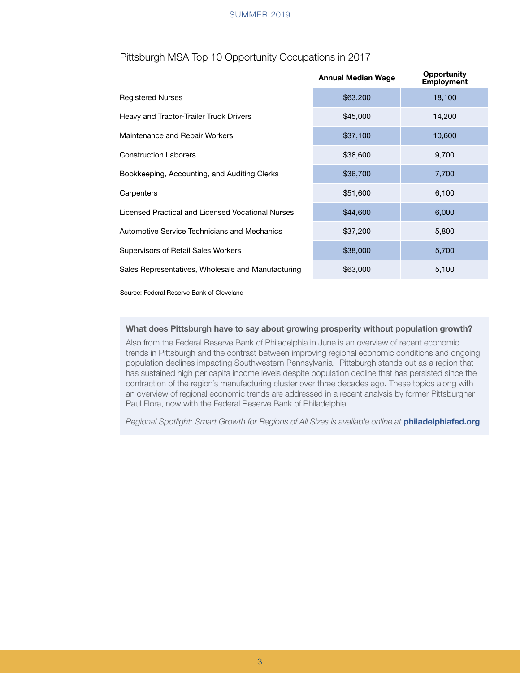#### PITTSBURGH ECONOMIC SUMMER 2019

### Pittsburgh MSA Top 10 Opportunity Occupations in 2017

|                                                    | <b>Annual Median Wage</b> | <b>Opportunity</b><br><b>Employment</b> |
|----------------------------------------------------|---------------------------|-----------------------------------------|
| <b>Registered Nurses</b>                           | \$63,200                  | 18,100                                  |
| Heavy and Tractor-Trailer Truck Drivers            | \$45,000                  | 14,200                                  |
| Maintenance and Repair Workers                     | \$37,100                  | 10,600                                  |
| <b>Construction Laborers</b>                       | \$38,600                  | 9,700                                   |
| Bookkeeping, Accounting, and Auditing Clerks       | \$36,700                  | 7,700                                   |
| Carpenters                                         | \$51,600                  | 6,100                                   |
| Licensed Practical and Licensed Vocational Nurses  | \$44,600                  | 6,000                                   |
| Automotive Service Technicians and Mechanics       | \$37,200                  | 5,800                                   |
| Supervisors of Retail Sales Workers                | \$38,000                  | 5,700                                   |
| Sales Representatives, Wholesale and Manufacturing | \$63,000                  | 5,100                                   |

Source: Federal Reserve Bank of Cleveland

#### What does Pittsburgh have to say about growing prosperity without population growth?

Also from the Federal Reserve Bank of Philadelphia in June is an overview of recent economic trends in Pittsburgh and the contrast between improving regional economic conditions and ongoing population declines impacting Southwestern Pennsylvania. Pittsburgh stands out as a region that has sustained high per capita income levels despite population decline that has persisted since the contraction of the region's manufacturing cluster over three decades ago. These topics along with an overview of regional economic trends are addressed in a recent analysis by former Pittsburgher Paul Flora, now with the Federal Reserve Bank of Philadelphia.

Regional Spotlight: Smart Growth for Regions of All Sizes is available online at **philadelphiafed.org**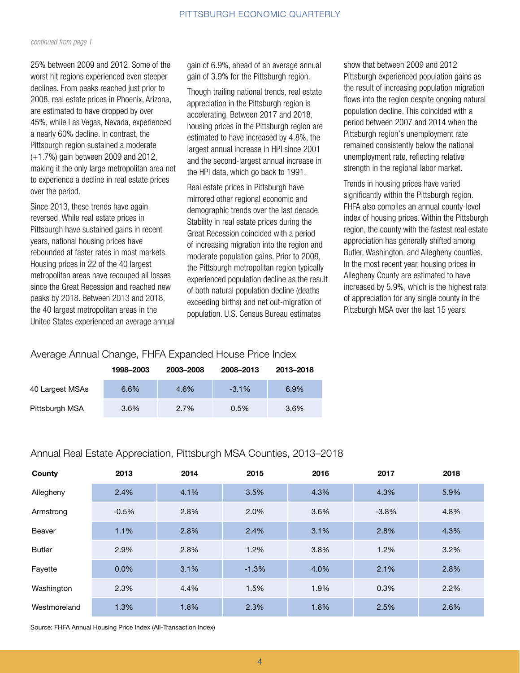#### *continued from page 1*

25% between 2009 and 2012. Some of the worst hit regions experienced even steeper declines. From peaks reached just prior to 2008, real estate prices in Phoenix, Arizona, are estimated to have dropped by over 45%, while Las Vegas, Nevada, experienced a nearly 60% decline. In contrast, the Pittsburgh region sustained a moderate (+1.7%) gain between 2009 and 2012, making it the only large metropolitan area not to experience a decline in real estate prices over the period.

Since 2013, these trends have again reversed. While real estate prices in Pittsburgh have sustained gains in recent years, national housing prices have rebounded at faster rates in most markets. Housing prices in 22 of the 40 largest metropolitan areas have recouped all losses since the Great Recession and reached new peaks by 2018. Between 2013 and 2018, the 40 largest metropolitan areas in the United States experienced an average annual gain of 6.9%, ahead of an average annual gain of 3.9% for the Pittsburgh region.

Though trailing national trends, real estate appreciation in the Pittsburgh region is accelerating. Between 2017 and 2018, housing prices in the Pittsburgh region are estimated to have increased by 4.8%, the largest annual increase in HPI since 2001 and the second-largest annual increase in the HPI data, which go back to 1991.

Real estate prices in Pittsburgh have mirrored other regional economic and demographic trends over the last decade. Stability in real estate prices during the Great Recession coincided with a period of increasing migration into the region and moderate population gains. Prior to 2008, the Pittsburgh metropolitan region typically experienced population decline as the result of both natural population decline (deaths exceeding births) and net out-migration of population. U.S. Census Bureau estimates

show that between 2009 and 2012 Pittsburgh experienced population gains as the result of increasing population migration flows into the region despite ongoing natural population decline. This coincided with a period between 2007 and 2014 when the Pittsburgh region's unemployment rate remained consistently below the national unemployment rate, reflecting relative strength in the regional labor market.

Trends in housing prices have varied significantly within the Pittsburgh region. FHFA also compiles an annual county-level index of housing prices. Within the Pittsburgh region, the county with the fastest real estate appreciation has generally shifted among Butler, Washington, and Allegheny counties. In the most recent year, housing prices in Allegheny County are estimated to have increased by 5.9%, which is the highest rate of appreciation for any single county in the Pittsburgh MSA over the last 15 years.

### Average Annual Change, FHFA Expanded House Price Index

|                 | 1998-2003 | 2003-2008 | 2008-2013 | 2013-2018 |
|-----------------|-----------|-----------|-----------|-----------|
| 40 Largest MSAs | 6.6%      | 4.6%      | $-3.1%$   | 6.9%      |
| Pittsburgh MSA  | 3.6%      | 2.7%      | 0.5%      | 3.6%      |

### Annual Real Estate Appreciation, Pittsburgh MSA Counties, 2013–2018

| County        | 2013    | 2014 | 2015    | 2016 | 2017    | 2018 |
|---------------|---------|------|---------|------|---------|------|
| Allegheny     | 2.4%    | 4.1% | 3.5%    | 4.3% | 4.3%    | 5.9% |
| Armstrong     | $-0.5%$ | 2.8% | 2.0%    | 3.6% | $-3.8%$ | 4.8% |
| Beaver        | 1.1%    | 2.8% | 2.4%    | 3.1% | 2.8%    | 4.3% |
| <b>Butler</b> | 2.9%    | 2.8% | 1.2%    | 3.8% | 1.2%    | 3.2% |
| Fayette       | 0.0%    | 3.1% | $-1.3%$ | 4.0% | 2.1%    | 2.8% |
| Washington    | 2.3%    | 4.4% | 1.5%    | 1.9% | 0.3%    | 2.2% |
| Westmoreland  | 1.3%    | 1.8% | 2.3%    | 1.8% | 2.5%    | 2.6% |

Source: FHFA Annual Housing Price Index (All-Transaction Index)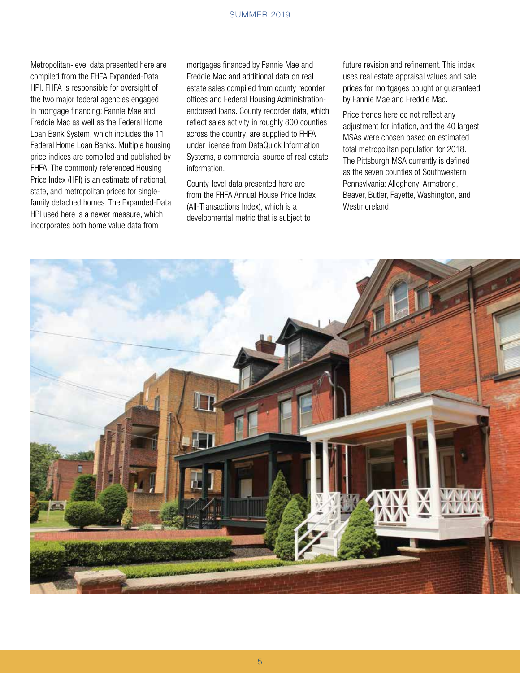Metropolitan-level data presented here are compiled from the FHFA Expanded-Data HPI. FHFA is responsible for oversight of the two major federal agencies engaged in mortgage financing: Fannie Mae and Freddie Mac as well as the Federal Home Loan Bank System, which includes the 11 Federal Home Loan Banks. Multiple housing price indices are compiled and published by FHFA. The commonly referenced Housing Price Index (HPI) is an estimate of national, state, and metropolitan prices for singlefamily detached homes. The Expanded-Data HPI used here is a newer measure, which incorporates both home value data from

mortgages financed by Fannie Mae and Freddie Mac and additional data on real estate sales compiled from county recorder offices and Federal Housing Administrationendorsed loans. County recorder data, which reflect sales activity in roughly 800 counties across the country, are supplied to FHFA under license from DataQuick Information Systems, a commercial source of real estate information.

County-level data presented here are from the FHFA Annual House Price Index (All-Transactions Index), which is a developmental metric that is subject to

future revision and refinement. This index uses real estate appraisal values and sale prices for mortgages bought or guaranteed by Fannie Mae and Freddie Mac.

Price trends here do not reflect any adjustment for inflation, and the 40 largest MSAs were chosen based on estimated total metropolitan population for 2018. The Pittsburgh MSA currently is defined as the seven counties of Southwestern Pennsylvania: Allegheny, Armstrong, Beaver, Butler, Fayette, Washington, and Westmoreland.

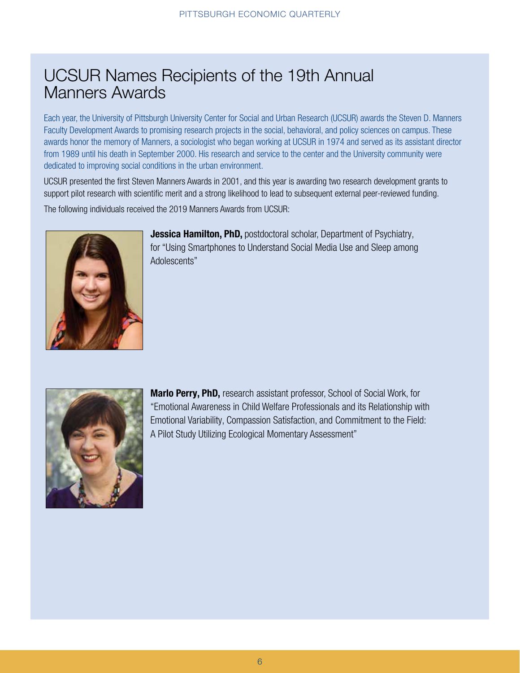## UCSUR Names Recipients of the 19th Annual Manners Awards

Each year, the University of Pittsburgh University Center for Social and Urban Research (UCSUR) awards the Steven D. Manners Faculty Development Awards to promising research projects in the social, behavioral, and policy sciences on campus. These awards honor the memory of Manners, a sociologist who began working at UCSUR in 1974 and served as its assistant director from 1989 until his death in September 2000. His research and service to the center and the University community were dedicated to improving social conditions in the urban environment.

UCSUR presented the first Steven Manners Awards in 2001, and this year is awarding two research development grants to support pilot research with scientific merit and a strong likelihood to lead to subsequent external peer-reviewed funding. The following individuals received the 2019 Manners Awards from UCSUR:



Jessica Hamilton, PhD, postdoctoral scholar, Department of Psychiatry, for "Using Smartphones to Understand Social Media Use and Sleep among Adolescents"



Marlo Perry, PhD, research assistant professor, School of Social Work, for "Emotional Awareness in Child Welfare Professionals and its Relationship with Emotional Variability, Compassion Satisfaction, and Commitment to the Field: A Pilot Study Utilizing Ecological Momentary Assessment"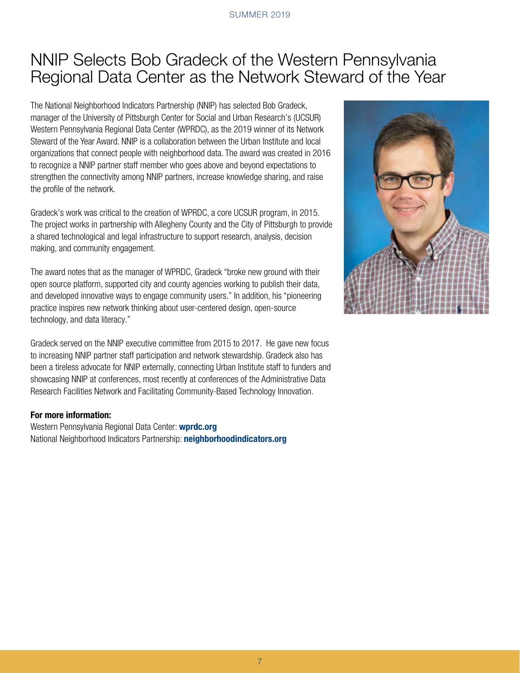## NNIP Selects Bob Gradeck of the Western Pennsylvania Regional Data Center as the Network Steward of the Year

The National Neighborhood Indicators Partnership (NNIP) has selected Bob Gradeck, manager of the University of Pittsburgh Center for Social and Urban Research's (UCSUR) Western Pennsylvania Regional Data Center (WPRDC), as the 2019 winner of its Network Steward of the Year Award. NNIP is a collaboration between the Urban Institute and local organizations that connect people with neighborhood data. The award was created in 2016 to recognize a NNIP partner staff member who goes above and beyond expectations to strengthen the connectivity among NNIP partners, increase knowledge sharing, and raise the profile of the network.

Gradeck's work was critical to the creation of WPRDC, a core UCSUR program, in 2015. The project works in partnership with Allegheny County and the City of Pittsburgh to provide a shared technological and legal infrastructure to support research, analysis, decision making, and community engagement.

The award notes that as the manager of WPRDC, Gradeck "broke new ground with their open source platform, supported city and county agencies working to publish their data, and developed innovative ways to engage community users." In addition, his "pioneering practice inspires new network thinking about user-centered design, open-source technology, and data literacy."

Gradeck served on the NNIP executive committee from 2015 to 2017. He gave new focus to increasing NNIP partner staff participation and network stewardship. Gradeck also has been a tireless advocate for NNIP externally, connecting Urban Institute staff to funders and showcasing NNIP at conferences, most recently at conferences of the Administrative Data Research Facilities Network and Facilitating Community-Based Technology Innovation.

### For more information:

Western Pennsylvania Regional Data Center: wprdc.org National Neighborhood Indicators Partnership: neighborhoodindicators.org